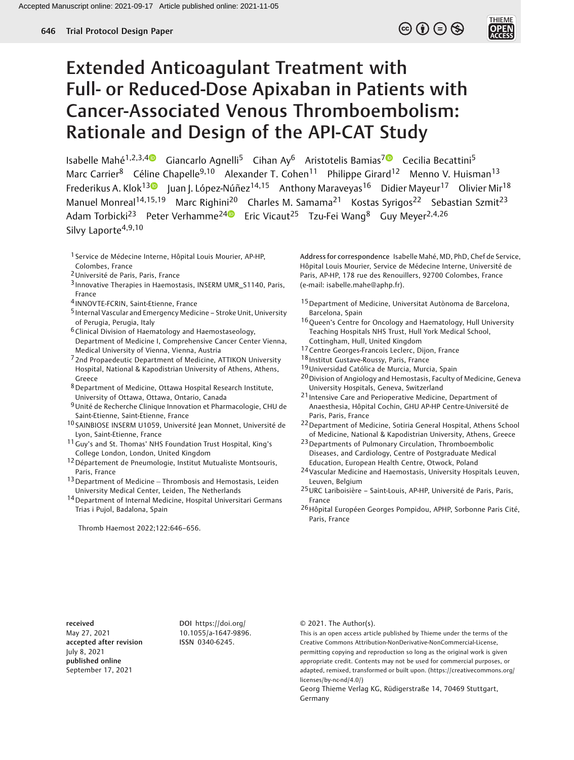## $\circledcirc$  (i)  $\ominus$   $\circledcirc$

**THIEME** 

# Extended Anticoagulant Treatment with Full- or Reduced-Dose Apixaban in Patients with Cancer-Associated Venous Thromboembolism: Rationale and Design of the API-CAT Study

Isabelle Mahé<sup>1,2,3,4</sup> Giancarlo Agnelli<sup>5</sup> Cihan Ay<sup>6</sup> Aristotelis Bamias<sup>7</sup> Cecilia Becattini<sup>5</sup> Marc Carrier<sup>8</sup> Céline Chapelle<sup>9,10</sup> Alexander T. Cohen<sup>11</sup> Philippe Girard<sup>12</sup> Menno V. Huisman<sup>13</sup> Frederikus A. Klok<sup>13</sup> Juan J. López-Núñez<sup>14,15</sup> Anthony Maraveyas<sup>16</sup> Didier Mayeur<sup>17</sup> Olivier Mir<sup>18</sup> Manuel Monreal<sup>14,15,19</sup> Marc Righini<sup>20</sup> Charles M. Samama<sup>21</sup> Kostas Syrigos<sup>22</sup> Sebastian Szmit<sup>23</sup> Adam Torbicki<sup>23</sup> Peter Verhamme<sup>2[4](https://orcid.org/0000-0001-8698-2858)</sup> Eric Vicaut<sup>25</sup> Tzu-Fei Wang<sup>8</sup> Guy Meyer<sup>2,4,26</sup> Silvy Laporte $4,9,10$ 

- 1 Service de Médecine Interne, Hôpital Louis Mourier, AP-HP, Colombes, France
- 2Université de Paris, Paris, France
- 3 Innovative Therapies in Haemostasis, INSERM UMR\_S1140, Paris, France
- 4 INNOVTE-FCRIN, Saint-Etienne, France
- 5 Internal Vascular and Emergency Medicine Stroke Unit, University of Perugia, Perugia, Italy
- 6Clinical Division of Haematology and Haemostaseology,
- Department of Medicine I, Comprehensive Cancer Center Vienna, Medical University of Vienna, Vienna, Austria
- 7 2nd Propaedeutic Department of Medicine, ATTIKON University Hospital, National & Kapodistrian University of Athens, Athens, Greece
- 8Department of Medicine, Ottawa Hospital Research Institute, University of Ottawa, Ottawa, Ontario, Canada
- 9Unité de Recherche Clinique Innovation et Pharmacologie, CHU de Saint-Etienne, Saint-Etienne, France
- 10 SAINBIOSE INSERM U1059, Université Jean Monnet, Université de Lyon, Saint-Etienne, France
- 11 Guy's and St. Thomas' NHS Foundation Trust Hospital, King's College London, London, United Kingdom
- 12Département de Pneumologie, Institut Mutualiste Montsouris, Paris, France
- <sup>13</sup> Department of Medicine Thrombosis and Hemostasis, Leiden University Medical Center, Leiden, The Netherlands
- 14Department of Internal Medicine, Hospital Universitari Germans Trias i Pujol, Badalona, Spain

Thromb Haemost 2022;122:646–656.

Address for correspondence Isabelle Mahé, MD, PhD, Chef de Service, Hôpital Louis Mourier, Service de Médecine Interne, Université de Paris, AP-HP, 178 rue des Renouillers, 92700 Colombes, France (e-mail: [isabelle.mahe@aphp.fr\)](mailto:isabelle.mahe@aphp.fr).

- 15Department of Medicine, Universitat Autònoma de Barcelona, Barcelona, Spain
- 16 Queen's Centre for Oncology and Haematology, Hull University Teaching Hospitals NHS Trust, Hull York Medical School, Cottingham, Hull, United Kingdom
- 17Centre Georges-Francois Leclerc, Dijon, France
- 18 Institut Gustave-Roussy, Paris, France
- 19Universidad Católica de Murcia, Murcia, Spain
- 20Division of Angiology and Hemostasis, Faculty of Medicine, Geneva University Hospitals, Geneva, Switzerland
- 21 Intensive Care and Perioperative Medicine, Department of Anaesthesia, Hôpital Cochin, GHU AP-HP Centre-Université de Paris, Paris, France
- 22Department of Medicine, Sotiria General Hospital, Athens School of Medicine, National & Kapodistrian University, Athens, Greece
- 23Departments of Pulmonary Circulation, Thromboembolic Diseases, and Cardiology, Centre of Postgraduate Medical Education, European Health Centre, Otwock, Poland
- 24Vascular Medicine and Haemostasis, University Hospitals Leuven, Leuven, Belgium
- 25URC Lariboisière Saint-Louis, AP-HP, Université de Paris, Paris, France
- <sup>26</sup>Hôpital Européen Georges Pompidou, APHP, Sorbonne Paris Cité, Paris, France

received May 27, 2021 accepted after revision July 8, 2021 published online September 17, 2021

DOI [https://doi.org/](https://doi.org/10.1055/a-1647-9896) [10.1055/a-1647-9896.](https://doi.org/10.1055/a-1647-9896) ISSN 0340-6245.

© 2021. The Author(s).

This is an open access article published by Thieme under the terms of the Creative Commons Attribution-NonDerivative-NonCommercial-License, permitting copying and reproduction so long as the original work is given appropriate credit. Contents may not be used for commercial purposes, or adapted, remixed, transformed or built upon. (https://creativecommons.org/ licenses/by-nc-nd/4.0/)

Georg Thieme Verlag KG, Rüdigerstraße 14, 70469 Stuttgart, Germany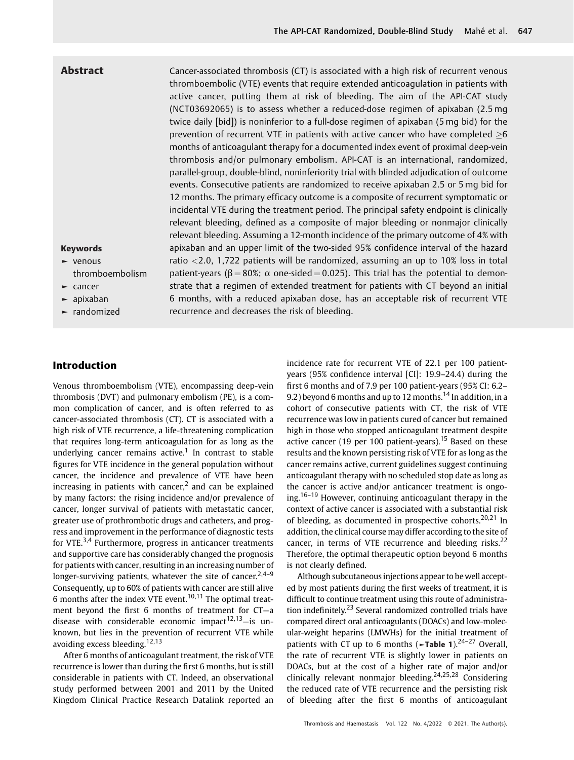Abstract Cancer-associated thrombosis (CT) is associated with a high risk of recurrent venous thromboembolic (VTE) events that require extended anticoagulation in patients with active cancer, putting them at risk of bleeding. The aim of the API-CAT study (NCT03692065) is to assess whether a reduced-dose regimen of apixaban (2.5 mg twice daily [bid]) is noninferior to a full-dose regimen of apixaban (5 mg bid) for the prevention of recurrent VTE in patients with active cancer who have completed  $\geq 6$ months of anticoagulant therapy for a documented index event of proximal deep-vein thrombosis and/or pulmonary embolism. API-CAT is an international, randomized, parallel-group, double-blind, noninferiority trial with blinded adjudication of outcome events. Consecutive patients are randomized to receive apixaban 2.5 or 5 mg bid for 12 months. The primary efficacy outcome is a composite of recurrent symptomatic or incidental VTE during the treatment period. The principal safety endpoint is clinically relevant bleeding, defined as a composite of major bleeding or nonmajor clinically relevant bleeding. Assuming a 12-month incidence of the primary outcome of 4% with apixaban and an upper limit of the two-sided 95% confidence interval of the hazard ratio <2.0, 1,722 patients will be randomized, assuming an up to 10% loss in total patient-years (β = 80%; α one-sided = 0.025). This trial has the potential to demonstrate that a regimen of extended treatment for patients with CT beyond an initial 6 months, with a reduced apixaban dose, has an acceptable risk of recurrent VTE recurrence and decreases the risk of bleeding.

#### Keywords

- ► venous thromboembolism
- ► cancer
- ► apixaban
- ► randomized

#### Introduction

Venous thromboembolism (VTE), encompassing deep-vein thrombosis (DVT) and pulmonary embolism (PE), is a common complication of cancer, and is often referred to as cancer-associated thrombosis (CT). CT is associated with a high risk of VTE recurrence, a life-threatening complication that requires long-term anticoagulation for as long as the underlying cancer remains active.<sup>1</sup> In contrast to stable figures for VTE incidence in the general population without cancer, the incidence and prevalence of VTE have been increasing in patients with cancer, $<sup>2</sup>$  and can be explained</sup> by many factors: the rising incidence and/or prevalence of cancer, longer survival of patients with metastatic cancer, greater use of prothrombotic drugs and catheters, and progress and improvement in the performance of diagnostic tests for VTE. $3,4$  Furthermore, progress in anticancer treatments and supportive care has considerably changed the prognosis for patients with cancer, resulting in an increasing number of longer-surviving patients, whatever the site of cancer.<sup>2,4-9</sup> Consequently, up to 60% of patients with cancer are still alive 6 months after the index VTE event. $10,11$  The optimal treatment beyond the first 6 months of treatment for CT—a disease with considerable economic impact $12,13$ -is unknown, but lies in the prevention of recurrent VTE while avoiding excess bleeding.<sup>12,13</sup>

After 6 months of anticoagulant treatment, the risk of VTE recurrence is lower than during the first 6 months, but is still considerable in patients with CT. Indeed, an observational study performed between 2001 and 2011 by the United Kingdom Clinical Practice Research Datalink reported an incidence rate for recurrent VTE of 22.1 per 100 patientyears (95% confidence interval [CI]: 19.9–24.4) during the first 6 months and of 7.9 per 100 patient-years (95% CI: 6.2– 9.2) beyond 6 months and up to 12 months.<sup>14</sup> In addition, in a cohort of consecutive patients with CT, the risk of VTE recurrence was low in patients cured of cancer but remained high in those who stopped anticoagulant treatment despite active cancer (19 per 100 patient-years).<sup>15</sup> Based on these results and the known persisting risk of VTE for as long as the cancer remains active, current guidelines suggest continuing anticoagulant therapy with no scheduled stop date as long as the cancer is active and/or anticancer treatment is ongoing.<sup>16–19</sup> However, continuing anticoagulant therapy in the context of active cancer is associated with a substantial risk of bleeding, as documented in prospective cohorts.<sup>20,21</sup> In addition, the clinical course may differ according to the site of cancer, in terms of VTE recurrence and bleeding risks.<sup>22</sup> Therefore, the optimal therapeutic option beyond 6 months is not clearly defined.

Although subcutaneous injections appear to be well accepted by most patients during the first weeks of treatment, it is difficult to continue treatment using this route of administration indefinitely.<sup>23</sup> Several randomized controlled trials have compared direct oral anticoagulants (DOACs) and low-molecular-weight heparins (LMWHs) for the initial treatment of patients with CT up to 6 months ( $\blacktriangleright$ Table 1).<sup>24–27</sup> Overall, the rate of recurrent VTE is slightly lower in patients on DOACs, but at the cost of a higher rate of major and/or clinically relevant nonmajor bleeding.<sup>24,25,28</sup> Considering the reduced rate of VTE recurrence and the persisting risk of bleeding after the first 6 months of anticoagulant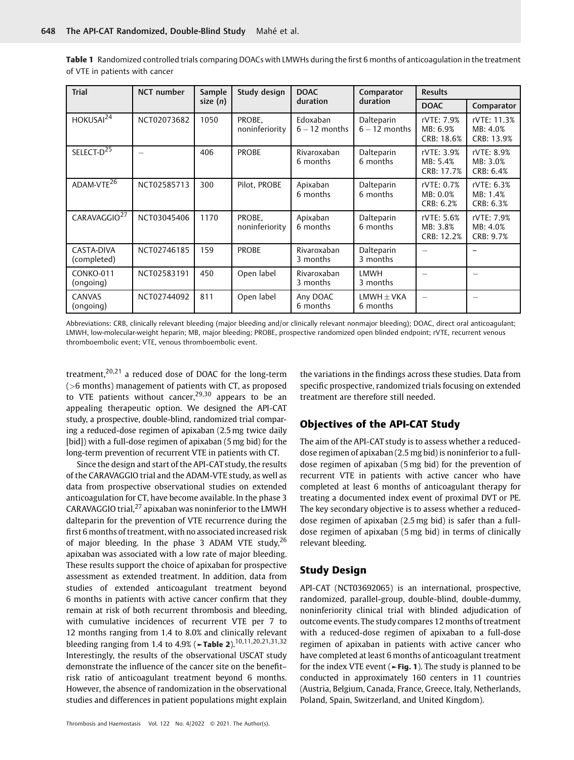| <b>Trial</b>                | NCT number               | Sample     | Study design             | <b>DOAC</b>                 | Comparator                    | <b>Results</b>                       |                                       |
|-----------------------------|--------------------------|------------|--------------------------|-----------------------------|-------------------------------|--------------------------------------|---------------------------------------|
|                             |                          | size $(n)$ |                          | duration                    | duration                      | <b>DOAC</b>                          | Comparator                            |
| HOKUSAI <sup>24</sup>       | NCT02073682              | 1050       | PROBE,<br>noninferiority | Edoxaban<br>$6 - 12$ months | Dalteparin<br>$6 - 12$ months | rVTE: 7.9%<br>MB: 6.9%<br>CRB: 18.6% | rVTE: 11.3%<br>MB: 4.0%<br>CRB: 13.9% |
| SELECT-D <sup>25</sup>      | $\overline{\phantom{0}}$ | 406        | <b>PROBE</b>             | Rivaroxaban<br>6 months     | Dalteparin<br>6 months        | rVTE: 3.9%<br>MB: 5.4%<br>CRB: 17.7% | rVTE: 8.9%<br>MB: 3.0%<br>CRB: 6.4%   |
| ADAM-VT $\overline{E^{26}}$ | NCT02585713              | 300        | Pilot, PROBE             | Apixaban<br>6 months        | Dalteparin<br>6 months        | rVTE: 0.7%<br>MB: 0.0%<br>CRB: 6.2%  | rVTE: 6.3%<br>MB: 1.4%<br>CRB: 6.3%   |
| CARAVAGGIO <sup>27</sup>    | NCT03045406              | 1170       | PROBE,<br>noninferiority | Apixaban<br>6 months        | Dalteparin<br>6 months        | rVTE: 5.6%<br>MB: 3.8%<br>CRB: 12.2% | rVTE: 7.9%<br>MB: 4.0%<br>CRB: 9.7%   |
| CASTA-DIVA<br>(completed)   | NCT02746185              | 159        | <b>PROBE</b>             | Rivaroxaban<br>3 months     | Dalteparin<br>3 months        |                                      |                                       |
| CONKO-011<br>(ongoing)      | NCT02583191              | 450        | Open label               | Rivaroxaban<br>3 months     | <b>LMWH</b><br>3 months       |                                      |                                       |
| <b>CANVAS</b><br>(ongoing)  | NCT02744092              | 811        | Open label               | Any DOAC<br>6 months        | $LMWH \pm VKA$<br>6 months    |                                      |                                       |

Table 1 Randomized controlled trials comparing DOACs with LMWHs during the first 6 months of anticoagulation in the treatment of VTE in patients with cancer

Abbreviations: CRB, clinically relevant bleeding (major bleeding and/or clinically relevant nonmajor bleeding); DOAC, direct oral anticoagulant; LMWH, low-molecular-weight heparin; MB, major bleeding; PROBE, prospective randomized open blinded endpoint; rVTE, recurrent venous thromboembolic event; VTE, venous thromboembolic event.

treatment, $20,21$  a reduced dose of DOAC for the long-term (>6 months) management of patients with CT, as proposed to VTE patients without cancer, $29,30$  appears to be an appealing therapeutic option. We designed the API-CAT study, a prospective, double-blind, randomized trial comparing a reduced-dose regimen of apixaban (2.5mg twice daily [bid]) with a full-dose regimen of apixaban (5 mg bid) for the long-term prevention of recurrent VTE in patients with CT.

Since the design and start of the API-CAT study, the results of the CARAVAGGIO trial and the ADAM-VTE study, as well as data from prospective observational studies on extended anticoagulation for CT, have become available. In the phase 3 CARAVAGGIO trial, $^{27}$  apixaban was noninferior to the LMWH dalteparin for the prevention of VTE recurrence during the first 6 months of treatment, with no associated increased risk of major bleeding. In the phase 3 ADAM VTE study,<sup>26</sup> apixaban was associated with a low rate of major bleeding. These results support the choice of apixaban for prospective assessment as extended treatment. In addition, data from studies of extended anticoagulant treatment beyond 6 months in patients with active cancer confirm that they remain at risk of both recurrent thrombosis and bleeding, with cumulative incidences of recurrent VTE per 7 to 12 months ranging from 1.4 to 8.0% and clinically relevant bleeding ranging from 1.4 to 4.9% (►Table 2).<sup>10,11,20,21,31,32</sup> Interestingly, the results of the observational USCAT study demonstrate the influence of the cancer site on the benefit– risk ratio of anticoagulant treatment beyond 6 months. However, the absence of randomization in the observational studies and differences in patient populations might explain

the variations in the findings across these studies. Data from specific prospective, randomized trials focusing on extended treatment are therefore still needed.

#### Objectives of the API-CAT Study

The aim of the API-CAT study is to assess whether a reduceddose regimen of apixaban (2.5 mg bid) is noninferior to a fulldose regimen of apixaban (5 mg bid) for the prevention of recurrent VTE in patients with active cancer who have completed at least 6 months of anticoagulant therapy for treating a documented index event of proximal DVT or PE. The key secondary objective is to assess whether a reduceddose regimen of apixaban (2.5 mg bid) is safer than a fulldose regimen of apixaban (5 mg bid) in terms of clinically relevant bleeding.

#### Study Design

API-CAT (NCT03692065) is an international, prospective, randomized, parallel-group, double-blind, double-dummy, noninferiority clinical trial with blinded adjudication of outcome events. The study compares 12 months of treatment with a reduced-dose regimen of apixaban to a full-dose regimen of apixaban in patients with active cancer who have completed at least 6 months of anticoagulant treatment for the index VTE event ( $\blacktriangleright$  Fig. 1). The study is planned to be conducted in approximately 160 centers in 11 countries (Austria, Belgium, Canada, France, Greece, Italy, Netherlands, Poland, Spain, Switzerland, and United Kingdom).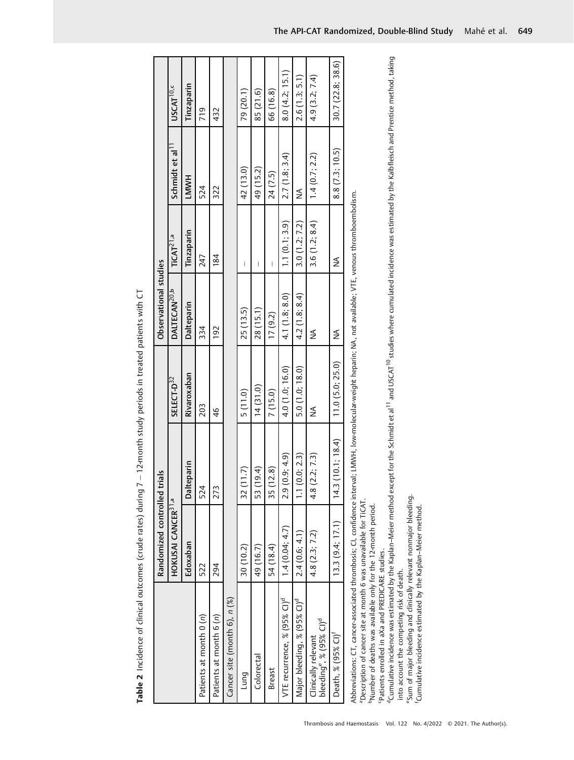| $\frac{1}{2}$ | $\frac{1}{2}$<br>c (cude rates) during 7 $-$ 12 month study periods in treated patients with<br>.<br>.<br>.<br>.<br>.<br>$\frac{1}{2}$<br>こうこうじょうじょう<br>ׅׅ֚֚֚֚֚֚֚֚֚֚֚֚֚֚֚֚֚֚֚֚֚֚֚֡֡֡֡֡֓֡֡֡֓֡֡֡֡֬<br>j<br>ׇ֚֘֝֡<br>l |
|---------------|---------------------------------------------------------------------------------------------------------------------------------------------------------------------------------------------------------------------|
|---------------|---------------------------------------------------------------------------------------------------------------------------------------------------------------------------------------------------------------------|

|                                                                                                                                                               | Randomized controlled trial    | <u>ທ</u>         |                        | Observational studies    |                       |                             |                       |
|---------------------------------------------------------------------------------------------------------------------------------------------------------------|--------------------------------|------------------|------------------------|--------------------------|-----------------------|-----------------------------|-----------------------|
|                                                                                                                                                               | HOKUSAI CANCER <sup>31,a</sup> |                  | SELECT-D <sup>32</sup> | DALTECAN <sup>20,b</sup> | TiCAT <sup>21,a</sup> | Schmidt et al <sup>11</sup> | USCAT <sup>10,c</sup> |
|                                                                                                                                                               | Edoxaban                       | Dalteparin       | Rivaroxaban            | Dalteparin               | Tinzaparin            | <b>HMMH</b>                 | Tinzaparin            |
| Patients at month 0 (n)                                                                                                                                       | 522                            | 524              | 203                    | 334                      | 247                   | 524                         | 719                   |
| Patients at month 6 (n)                                                                                                                                       | 294                            | 273              | $\frac{4}{6}$          | 192                      | 184                   | 322                         | 432                   |
| Cancer site (month 6), n (%)                                                                                                                                  |                                |                  |                        |                          |                       |                             |                       |
| Lung                                                                                                                                                          | 30 (10.2)                      | 32 (11.7)        | 5(11.0)                | 25 (13.5)                | I                     | 42 (13.0)                   | 79 (20.1)             |
| Colorectal                                                                                                                                                    | 49 (16.7)                      | 53 (19.4)        | 14(31.0)               | 28 (15.1)                | I                     | 49 (15.2)                   | 85 (21.6)             |
| Breast                                                                                                                                                        | 54 (18.4)                      | 35 (12.8)        | 7(15.0)                | 17(9.2)                  | I                     | 24 (7.5)                    | 66 (16.8)             |
| VTE recurrence, % (95% CI) <sup>d</sup>                                                                                                                       | 1.4(0.04; 4.7)                 | 2.9(0.9; 4.9)    | 4.0 (1.0; 16.0)        | 4.1(1.8; 8.0)            | 1.1(0.1; 3.9)         | 2.7(1.8; 3.4)               | 8.0(4.2; 15.1)        |
| Major bleeding, % (95% Cl) <sup>d</sup>                                                                                                                       | 2.4(0.6; 4.1)                  | 1.1(0.0; 2.3)    | 5.0(1.0; 18.0)         | 4.2(1.8; 8.4)            | 3.0(1.2; 7.2)         | ⋚                           | 2.6(1.3; 5.1)         |
| bleeding <sup>e</sup> , % (95% Cl) <sup>d</sup><br>Clinically relevant                                                                                        | 4.8(2.3; 7.2)                  | 4.8(2.2; 7.3)    | ⋚                      | ≸                        | 3.6(1.2; 8.4)         | 1.4(0.7; 2.2)               | 4.9 (3.2; 7.4)        |
| Death, % (95% Cl) <sup>†</sup>                                                                                                                                | 13.3(9.4; 17.1)                | 14.3(10.1; 18.4) | 11.0(5.0; 25.0)        | ≸                        | ⋚                     | 8.8(7.3; 10.5)              | 30.7(22.8; 38.6)      |
| Abbreviations: CT, cancer-associated thrombosis; CI, confidence interval; LMWH, low-molecular-weight heparin; NA, not available; VTE, venous thromboembolism. |                                |                  |                        |                          |                       |                             |                       |

Abbreviations: CT, cancer-associated thrombosis; CI, confidence interval; LMWH, low-molecular-weight heparin; NA, not available; VTE, venous thromboembolism.<br>"Description of cancer site at month 6 was unavailable for TiCAT

bNumber of deaths was available only for the 12-month period.

cPatients enrolled in aXa and PREDICARE studies.

"Description of cancer site at month 6 was unavailable for TiCAT.<br>"Number of deaths was available only for the 12-month period.<br>"Patients enrolled in aXa and PREDICARE studies.<br>"Cumulative incidence was estimated by the Ka dCumulative incidence was estimated by the Kaplan–Meier method except for the Schmidt et al11 and USCAT10 studies where cumulated incidence was estimated by the Kalbfleisch and Prentice method, taking into account the competing risk of death.

into account the competing risk of death.<br>"Sum of major bleeding and clinically relevant nonmajor bleeding. eSum of major bleeding and clinically relevant nonmajor bleeding.

Cumulative incidence estimated by the Kaplan-Meier method. fCumulative incidence estimated by the Kaplan–Meier method.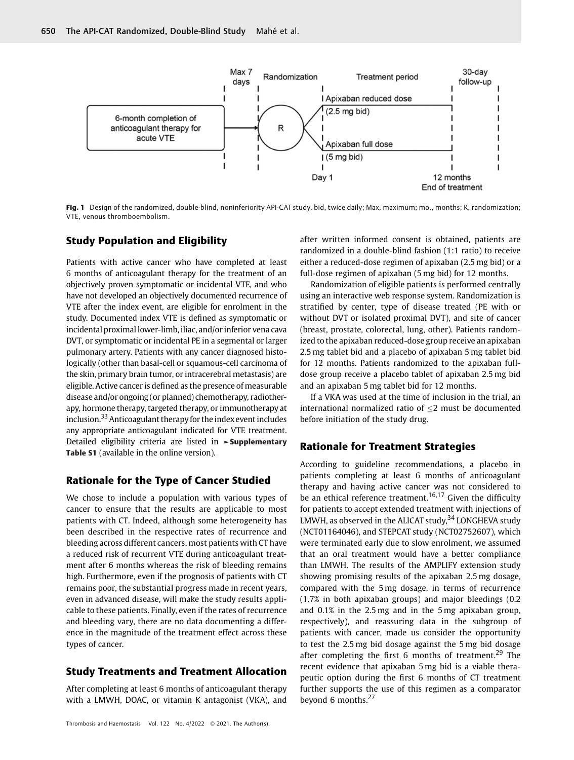

Fig. 1 Design of the randomized, double-blind, noninferiority API-CAT study. bid, twice daily; Max, maximum; mo., months; R, randomization; VTE, venous thromboembolism.

#### Study Population and Eligibility

Patients with active cancer who have completed at least 6 months of anticoagulant therapy for the treatment of an objectively proven symptomatic or incidental VTE, and who have not developed an objectively documented recurrence of VTE after the index event, are eligible for enrolment in the study. Documented index VTE is defined as symptomatic or incidental proximal lower-limb, iliac, and/or inferior vena cava DVT, or symptomatic or incidental PE in a segmental or larger pulmonary artery. Patients with any cancer diagnosed histologically (other than basal-cell or squamous-cell carcinoma of the skin, primary brain tumor, or intracerebral metastasis) are eligible. Active cancer is defined as the presence of measurable disease and/or ongoing (or planned) chemotherapy, radiotherapy, hormone therapy, targeted therapy, or immunotherapy at inclusion.<sup>33</sup> Anticoagulant therapy for the index event includes any appropriate anticoagulant indicated for VTE treatment. Detailed eligibility criteria are listed in ►Supplementary Table S1 (available in the online version).

#### Rationale for the Type of Cancer Studied

We chose to include a population with various types of cancer to ensure that the results are applicable to most patients with CT. Indeed, although some heterogeneity has been described in the respective rates of recurrence and bleeding across different cancers, most patients with CT have a reduced risk of recurrent VTE during anticoagulant treatment after 6 months whereas the risk of bleeding remains high. Furthermore, even if the prognosis of patients with CT remains poor, the substantial progress made in recent years, even in advanced disease, will make the study results applicable to these patients. Finally, even if the rates of recurrence and bleeding vary, there are no data documenting a difference in the magnitude of the treatment effect across these types of cancer.

#### Study Treatments and Treatment Allocation

After completing at least 6 months of anticoagulant therapy with a LMWH, DOAC, or vitamin K antagonist (VKA), and

after written informed consent is obtained, patients are randomized in a double-blind fashion (1:1 ratio) to receive either a reduced-dose regimen of apixaban (2.5 mg bid) or a full-dose regimen of apixaban (5 mg bid) for 12 months.

Randomization of eligible patients is performed centrally using an interactive web response system. Randomization is stratified by center, type of disease treated (PE with or without DVT or isolated proximal DVT), and site of cancer (breast, prostate, colorectal, lung, other). Patients randomized to the apixaban reduced-dose group receive an apixaban 2.5 mg tablet bid and a placebo of apixaban 5 mg tablet bid for 12 months. Patients randomized to the apixaban fulldose group receive a placebo tablet of apixaban 2.5 mg bid and an apixaban 5 mg tablet bid for 12 months.

If a VKA was used at the time of inclusion in the trial, an international normalized ratio of  $\leq$ 2 must be documented before initiation of the study drug.

#### Rationale for Treatment Strategies

According to guideline recommendations, a placebo in patients completing at least 6 months of anticoagulant therapy and having active cancer was not considered to be an ethical reference treatment.<sup>16,17</sup> Given the difficulty for patients to accept extended treatment with injections of LMWH, as observed in the ALICAT study,  $34$  LONGHEVA study (NCT01164046), and STEPCAT study (NCT02752607), which were terminated early due to slow enrolment, we assumed that an oral treatment would have a better compliance than LMWH. The results of the AMPLIFY extension study showing promising results of the apixaban 2.5 mg dosage, compared with the 5 mg dosage, in terms of recurrence (1.7% in both apixaban groups) and major bleedings (0.2 and 0.1% in the 2.5 mg and in the 5 mg apixaban group, respectively), and reassuring data in the subgroup of patients with cancer, made us consider the opportunity to test the 2.5 mg bid dosage against the 5 mg bid dosage after completing the first 6 months of treatment.<sup>29</sup> The recent evidence that apixaban 5 mg bid is a viable therapeutic option during the first 6 months of CT treatment further supports the use of this regimen as a comparator beyond 6 months.<sup>27</sup>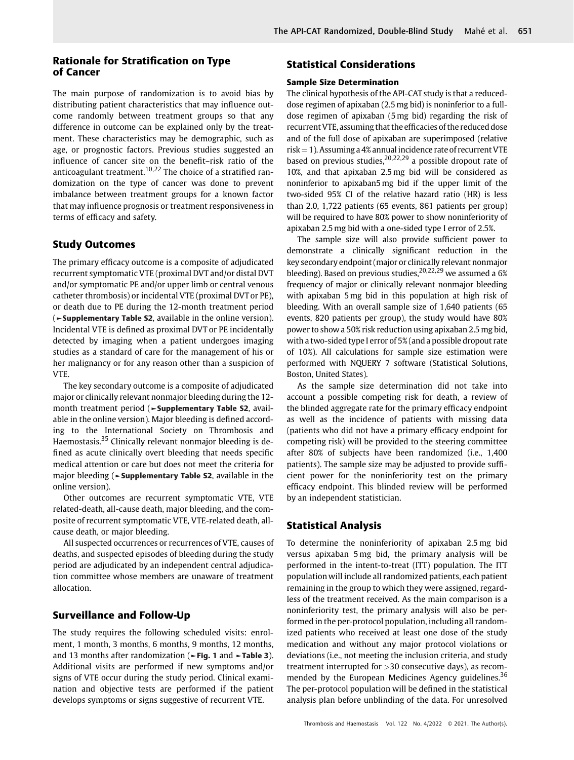#### Rationale for Stratification on Type of Cancer

The main purpose of randomization is to avoid bias by distributing patient characteristics that may influence outcome randomly between treatment groups so that any difference in outcome can be explained only by the treatment. These characteristics may be demographic, such as age, or prognostic factors. Previous studies suggested an influence of cancer site on the benefit–risk ratio of the anticoagulant treatment.<sup>10,22</sup> The choice of a stratified randomization on the type of cancer was done to prevent imbalance between treatment groups for a known factor that may influence prognosis or treatment responsiveness in terms of efficacy and safety.

#### Study Outcomes

The primary efficacy outcome is a composite of adjudicated recurrent symptomatic VTE (proximal DVT and/or distal DVT and/or symptomatic PE and/or upper limb or central venous catheter thrombosis) or incidental VTE (proximal DVT or PE), or death due to PE during the 12-month treatment period (►Supplementary Table S2, available in the online version). Incidental VTE is defined as proximal DVT or PE incidentally detected by imaging when a patient undergoes imaging studies as a standard of care for the management of his or her malignancy or for any reason other than a suspicion of VTE.

The key secondary outcome is a composite of adjudicated major or clinically relevant nonmajor bleeding during the 12 month treatment period (►Supplementary Table S2, available in the online version). Major bleeding is defined according to the International Society on Thrombosis and Haemostasis.<sup>35</sup> Clinically relevant nonmajor bleeding is defined as acute clinically overt bleeding that needs specific medical attention or care but does not meet the criteria for major bleeding (►Supplementary Table S2, available in the online version).

Other outcomes are recurrent symptomatic VTE, VTE related-death, all-cause death, major bleeding, and the composite of recurrent symptomatic VTE, VTE-related death, allcause death, or major bleeding.

All suspected occurrences or recurrences of VTE, causes of deaths, and suspected episodes of bleeding during the study period are adjudicated by an independent central adjudication committee whose members are unaware of treatment allocation.

#### Surveillance and Follow-Up

The study requires the following scheduled visits: enrolment, 1 month, 3 months, 6 months, 9 months, 12 months, and 13 months after randomization ( $\blacktriangleright$  Fig. 1 and  $\blacktriangleright$  Table 3). Additional visits are performed if new symptoms and/or signs of VTE occur during the study period. Clinical examination and objective tests are performed if the patient develops symptoms or signs suggestive of recurrent VTE.

#### Statistical Considerations

#### Sample Size Determination

The clinical hypothesis of the API-CAT study is that a reduceddose regimen of apixaban (2.5mg bid) is noninferior to a fulldose regimen of apixaban (5mg bid) regarding the risk of recurrent VTE, assuming that the efficacies of the reduced dose and of the full dose of apixaban are superimposed (relative  $risk = 1$ ). Assuming a 4% annual incidence rate of recurrent VTE based on previous studies,  $20,22,29$  a possible dropout rate of 10%, and that apixaban 2.5 mg bid will be considered as noninferior to apixaban5 mg bid if the upper limit of the two-sided 95% CI of the relative hazard ratio (HR) is less than 2.0, 1,722 patients (65 events, 861 patients per group) will be required to have 80% power to show noninferiority of apixaban 2.5 mg bid with a one-sided type I error of 2.5%.

The sample size will also provide sufficient power to demonstrate a clinically significant reduction in the key secondary endpoint (major or clinically relevant nonmajor bleeding). Based on previous studies,  $20,22,29$  we assumed a 6% frequency of major or clinically relevant nonmajor bleeding with apixaban 5 mg bid in this population at high risk of bleeding. With an overall sample size of 1,640 patients (65 events, 820 patients per group), the study would have 80% power to show a 50% risk reduction using apixaban 2.5 mg bid, with a two-sided type I error of 5% (and a possible dropout rate of 10%). All calculations for sample size estimation were performed with NQUERY 7 software (Statistical Solutions, Boston, United States).

As the sample size determination did not take into account a possible competing risk for death, a review of the blinded aggregate rate for the primary efficacy endpoint as well as the incidence of patients with missing data (patients who did not have a primary efficacy endpoint for competing risk) will be provided to the steering committee after 80% of subjects have been randomized (i.e., 1,400 patients). The sample size may be adjusted to provide sufficient power for the noninferiority test on the primary efficacy endpoint. This blinded review will be performed by an independent statistician.

#### Statistical Analysis

To determine the noninferiority of apixaban 2.5 mg bid versus apixaban 5 mg bid, the primary analysis will be performed in the intent-to-treat (ITT) population. The ITT population will include all randomized patients, each patient remaining in the group to which they were assigned, regardless of the treatment received. As the main comparison is a noninferiority test, the primary analysis will also be performed in the per-protocol population, including all randomized patients who received at least one dose of the study medication and without any major protocol violations or deviations (i.e., not meeting the inclusion criteria, and study treatment interrupted for >30 consecutive days), as recommended by the European Medicines Agency guidelines.<sup>36</sup> The per-protocol population will be defined in the statistical analysis plan before unblinding of the data. For unresolved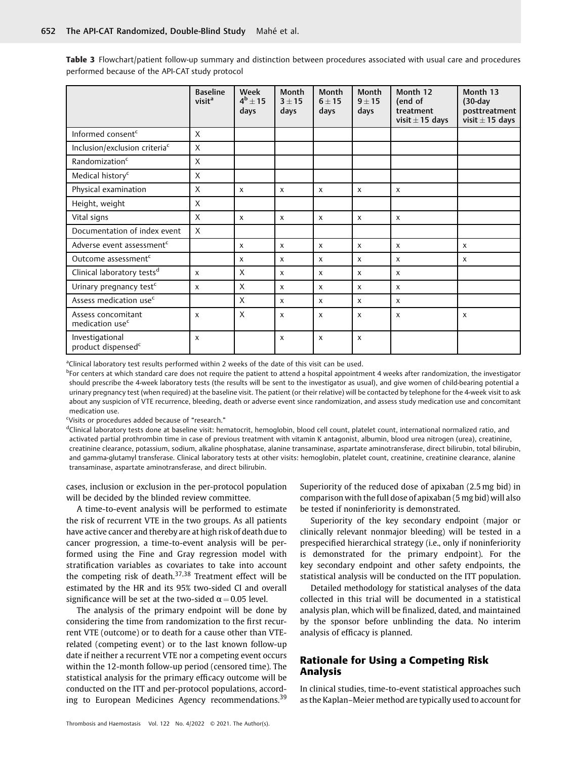Table 3 Flowchart/patient follow-up summary and distinction between procedures associated with usual care and procedures performed because of the API-CAT study protocol

|                                                   | <b>Baseline</b><br>visit <sup>a</sup> | Week<br>$4^b \pm 15$<br>days | Month<br>$3 + 15$<br>days | Month<br>$6 + 15$<br>days | Month<br>$9 + 15$<br>days | Month 12<br>(end of<br>treatment<br>visit $\pm$ 15 days | Month 13<br>$(30-day)$<br>posttreatment<br>visit $\pm$ 15 days |
|---------------------------------------------------|---------------------------------------|------------------------------|---------------------------|---------------------------|---------------------------|---------------------------------------------------------|----------------------------------------------------------------|
| Informed consent <sup>c</sup>                     | $\mathsf{X}$                          |                              |                           |                           |                           |                                                         |                                                                |
| Inclusion/exclusion criteria <sup>c</sup>         | $\sf X$                               |                              |                           |                           |                           |                                                         |                                                                |
| Randomization <sup>c</sup>                        | $\mathsf{X}$                          |                              |                           |                           |                           |                                                         |                                                                |
| Medical history <sup>c</sup>                      | X                                     |                              |                           |                           |                           |                                                         |                                                                |
| Physical examination                              | $\mathsf{X}$                          | X                            | $\boldsymbol{\mathsf{x}}$ | X                         | $\boldsymbol{\mathsf{x}}$ | $\boldsymbol{\mathsf{x}}$                               |                                                                |
| Height, weight                                    | X                                     |                              |                           |                           |                           |                                                         |                                                                |
| Vital signs                                       | $\mathsf{X}$                          | X                            | $\boldsymbol{\mathsf{x}}$ | $\mathsf{x}$              | $\boldsymbol{\mathsf{x}}$ | $\boldsymbol{\mathsf{x}}$                               |                                                                |
| Documentation of index event                      | $\mathsf{X}$                          |                              |                           |                           |                           |                                                         |                                                                |
| Adverse event assessment <sup>c</sup>             |                                       | X                            | $\boldsymbol{\mathsf{x}}$ | $\mathsf{x}$              | $\boldsymbol{\mathsf{x}}$ | $\boldsymbol{\mathsf{x}}$                               | $\boldsymbol{\mathsf{x}}$                                      |
| Outcome assessment <sup>c</sup>                   |                                       | X                            | $\boldsymbol{\mathsf{x}}$ | $\mathsf{x}$              | $\boldsymbol{\mathsf{x}}$ | $\mathsf{x}$                                            | $\mathsf{x}$                                                   |
| Clinical laboratory tests <sup>d</sup>            | $\boldsymbol{\mathsf{x}}$             | X                            | $\boldsymbol{\mathsf{x}}$ | $\mathsf{x}$              | $\boldsymbol{\mathsf{x}}$ | $\boldsymbol{\mathsf{x}}$                               |                                                                |
| Urinary pregnancy test <sup>c</sup>               | $\boldsymbol{\mathsf{x}}$             | X                            | $\boldsymbol{\mathsf{x}}$ | $\mathsf{x}$              | $\boldsymbol{\mathsf{x}}$ | $\mathsf{x}$                                            |                                                                |
| Assess medication use <sup>c</sup>                |                                       | X                            | $\mathsf{x}$              | $\mathsf{x}$              | $\mathsf{x}$              | $\mathsf{x}$                                            |                                                                |
| Assess concomitant<br>medication use <sup>c</sup> | $\boldsymbol{\mathsf{x}}$             | $\mathsf{X}$                 | $\boldsymbol{\mathsf{x}}$ | $\mathsf{x}$              | $\boldsymbol{\mathsf{x}}$ | $\boldsymbol{\mathsf{x}}$                               | $\boldsymbol{\mathsf{x}}$                                      |
| Investigational<br>product dispensed <sup>c</sup> | $\boldsymbol{\mathsf{x}}$             |                              | $\boldsymbol{\mathsf{x}}$ | $\boldsymbol{\mathsf{x}}$ | $\boldsymbol{\mathsf{x}}$ |                                                         |                                                                |

<sup>a</sup>Clinical laboratory test results performed within 2 weeks of the date of this visit can be used.

<sup>b</sup>For centers at which standard care does not require the patient to attend a hospital appointment 4 weeks after randomization, the investigator should prescribe the 4-week laboratory tests (the results will be sent to the investigator as usual), and give women of child-bearing potential a urinary pregnancy test (when required) at the baseline visit. The patient (or their relative) will be contacted by telephone for the 4-week visit to ask about any suspicion of VTE recurrence, bleeding, death or adverse event since randomization, and assess study medication use and concomitant medication use.

<sup>c</sup>Visits or procedures added because of "research."

<sup>d</sup>Clinical laboratory tests done at baseline visit: hematocrit, hemoglobin, blood cell count, platelet count, international normalized ratio, and activated partial prothrombin time in case of previous treatment with vitamin K antagonist, albumin, blood urea nitrogen (urea), creatinine, creatinine clearance, potassium, sodium, alkaline phosphatase, alanine transaminase, aspartate aminotransferase, direct bilirubin, total bilirubin, and gamma-glutamyl transferase. Clinical laboratory tests at other visits: hemoglobin, platelet count, creatinine, creatinine clearance, alanine transaminase, aspartate aminotransferase, and direct bilirubin.

cases, inclusion or exclusion in the per-protocol population will be decided by the blinded review committee.

A time-to-event analysis will be performed to estimate the risk of recurrent VTE in the two groups. As all patients have active cancer and thereby are at high risk of death due to cancer progression, a time-to-event analysis will be performed using the Fine and Gray regression model with stratification variables as covariates to take into account the competing risk of death. $37,38$  Treatment effect will be estimated by the HR and its 95% two-sided CI and overall significance will be set at the two-sided  $\alpha = 0.05$  level.

The analysis of the primary endpoint will be done by considering the time from randomization to the first recurrent VTE (outcome) or to death for a cause other than VTErelated (competing event) or to the last known follow-up date if neither a recurrent VTE nor a competing event occurs within the 12-month follow-up period (censored time). The statistical analysis for the primary efficacy outcome will be conducted on the ITT and per-protocol populations, according to European Medicines Agency recommendations.<sup>39</sup>

Superiority of the reduced dose of apixaban (2.5 mg bid) in comparison with the full dose of apixaban (5 mg bid) will also be tested if noninferiority is demonstrated.

Superiority of the key secondary endpoint (major or clinically relevant nonmajor bleeding) will be tested in a prespecified hierarchical strategy (i.e., only if noninferiority is demonstrated for the primary endpoint). For the key secondary endpoint and other safety endpoints, the statistical analysis will be conducted on the ITT population.

Detailed methodology for statistical analyses of the data collected in this trial will be documented in a statistical analysis plan, which will be finalized, dated, and maintained by the sponsor before unblinding the data. No interim analysis of efficacy is planned.

#### Rationale for Using a Competing Risk Analysis

In clinical studies, time-to-event statistical approaches such as the Kaplan–Meier method are typically used to account for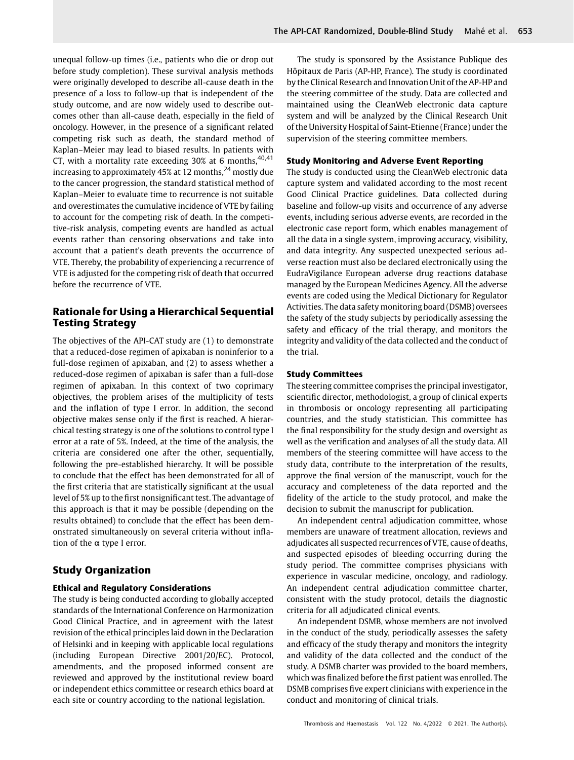unequal follow-up times (i.e., patients who die or drop out before study completion). These survival analysis methods were originally developed to describe all-cause death in the presence of a loss to follow-up that is independent of the study outcome, and are now widely used to describe outcomes other than all-cause death, especially in the field of oncology. However, in the presence of a significant related competing risk such as death, the standard method of Kaplan–Meier may lead to biased results. In patients with CT, with a mortality rate exceeding  $30\%$  at 6 months,  $40,41$ increasing to approximately 45% at 12 months,  $24$  mostly due to the cancer progression, the standard statistical method of Kaplan–Meier to evaluate time to recurrence is not suitable and overestimates the cumulative incidence of VTE by failing to account for the competing risk of death. In the competitive-risk analysis, competing events are handled as actual events rather than censoring observations and take into account that a patient's death prevents the occurrence of VTE. Thereby, the probability of experiencing a recurrence of VTE is adjusted for the competing risk of death that occurred before the recurrence of VTE.

#### Rationale for Using a Hierarchical Sequential Testing Strategy

The objectives of the API-CAT study are (1) to demonstrate that a reduced-dose regimen of apixaban is noninferior to a full-dose regimen of apixaban, and (2) to assess whether a reduced-dose regimen of apixaban is safer than a full-dose regimen of apixaban. In this context of two coprimary objectives, the problem arises of the multiplicity of tests and the inflation of type I error. In addition, the second objective makes sense only if the first is reached. A hierarchical testing strategy is one of the solutions to control type I error at a rate of 5%. Indeed, at the time of the analysis, the criteria are considered one after the other, sequentially, following the pre-established hierarchy. It will be possible to conclude that the effect has been demonstrated for all of the first criteria that are statistically significant at the usual level of 5% up to the first nonsignificant test. The advantage of this approach is that it may be possible (depending on the results obtained) to conclude that the effect has been demonstrated simultaneously on several criteria without inflation of the α type I error.

### Study Organization

#### Ethical and Regulatory Considerations

The study is being conducted according to globally accepted standards of the International Conference on Harmonization Good Clinical Practice, and in agreement with the latest revision of the ethical principles laid down in the Declaration of Helsinki and in keeping with applicable local regulations (including European Directive 2001/20/EC). Protocol, amendments, and the proposed informed consent are reviewed and approved by the institutional review board or independent ethics committee or research ethics board at each site or country according to the national legislation.

The study is sponsored by the Assistance Publique des Hôpitaux de Paris (AP-HP, France). The study is coordinated by the Clinical Research and Innovation Unit of the AP-HP and the steering committee of the study. Data are collected and maintained using the CleanWeb electronic data capture system and will be analyzed by the Clinical Research Unit of the University Hospital of Saint-Etienne (France) under the supervision of the steering committee members.

#### Study Monitoring and Adverse Event Reporting

The study is conducted using the CleanWeb electronic data capture system and validated according to the most recent Good Clinical Practice guidelines. Data collected during baseline and follow-up visits and occurrence of any adverse events, including serious adverse events, are recorded in the electronic case report form, which enables management of all the data in a single system, improving accuracy, visibility, and data integrity. Any suspected unexpected serious adverse reaction must also be declared electronically using the EudraVigilance European adverse drug reactions database managed by the European Medicines Agency. All the adverse events are coded using the Medical Dictionary for Regulator Activities. The data safety monitoring board (DSMB) oversees the safety of the study subjects by periodically assessing the safety and efficacy of the trial therapy, and monitors the integrity and validity of the data collected and the conduct of the trial.

#### Study Committees

The steering committee comprises the principal investigator, scientific director, methodologist, a group of clinical experts in thrombosis or oncology representing all participating countries, and the study statistician. This committee has the final responsibility for the study design and oversight as well as the verification and analyses of all the study data. All members of the steering committee will have access to the study data, contribute to the interpretation of the results, approve the final version of the manuscript, vouch for the accuracy and completeness of the data reported and the fidelity of the article to the study protocol, and make the decision to submit the manuscript for publication.

An independent central adjudication committee, whose members are unaware of treatment allocation, reviews and adjudicates all suspected recurrences of VTE, cause of deaths, and suspected episodes of bleeding occurring during the study period. The committee comprises physicians with experience in vascular medicine, oncology, and radiology. An independent central adjudication committee charter, consistent with the study protocol, details the diagnostic criteria for all adjudicated clinical events.

An independent DSMB, whose members are not involved in the conduct of the study, periodically assesses the safety and efficacy of the study therapy and monitors the integrity and validity of the data collected and the conduct of the study. A DSMB charter was provided to the board members, which was finalized before the first patient was enrolled. The DSMB comprises five expert clinicians with experience in the conduct and monitoring of clinical trials.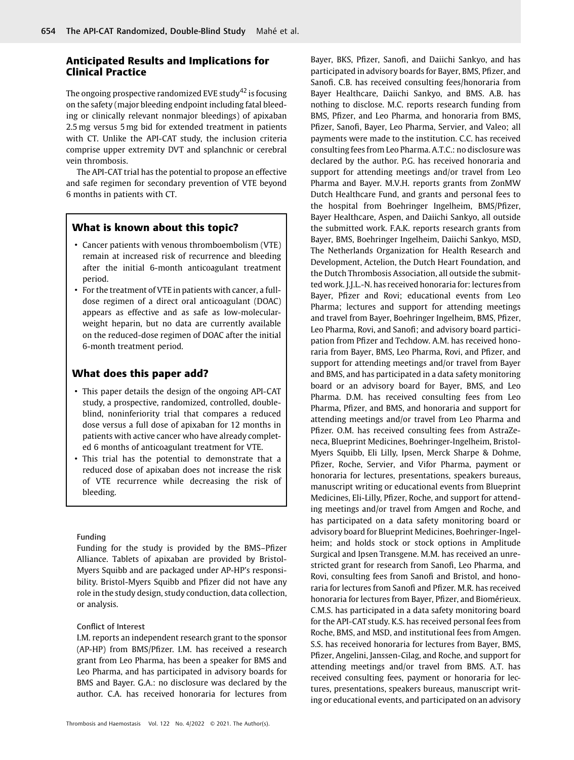#### Anticipated Results and Implications for Clinical Practice

The ongoing prospective randomized EVE study<sup>42</sup> is focusing on the safety (major bleeding endpoint including fatal bleeding or clinically relevant nonmajor bleedings) of apixaban 2.5 mg versus 5 mg bid for extended treatment in patients with CT. Unlike the API-CAT study, the inclusion criteria comprise upper extremity DVT and splanchnic or cerebral vein thrombosis.

The API-CAT trial has the potential to propose an effective and safe regimen for secondary prevention of VTE beyond 6 months in patients with CT.

#### What is known about this topic?

- Cancer patients with venous thromboembolism (VTE) remain at increased risk of recurrence and bleeding after the initial 6-month anticoagulant treatment period.
- For the treatment of VTE in patients with cancer, a fulldose regimen of a direct oral anticoagulant (DOAC) appears as effective and as safe as low-molecularweight heparin, but no data are currently available on the reduced-dose regimen of DOAC after the initial 6-month treatment period.

#### What does this paper add?

- This paper details the design of the ongoing API-CAT study, a prospective, randomized, controlled, doubleblind, noninferiority trial that compares a reduced dose versus a full dose of apixaban for 12 months in patients with active cancer who have already completed 6 months of anticoagulant treatment for VTE.
- This trial has the potential to demonstrate that a reduced dose of apixaban does not increase the risk of VTE recurrence while decreasing the risk of bleeding.

#### Funding

Funding for the study is provided by the BMS–Pfizer Alliance. Tablets of apixaban are provided by Bristol-Myers Squibb and are packaged under AP-HP's responsibility. Bristol-Myers Squibb and Pfizer did not have any role in the study design, study conduction, data collection, or analysis.

#### Conflict of Interest

I.M. reports an independent research grant to the sponsor (AP-HP) from BMS/Pfizer. I.M. has received a research grant from Leo Pharma, has been a speaker for BMS and Leo Pharma, and has participated in advisory boards for BMS and Bayer. G.A.: no disclosure was declared by the author. C.A. has received honoraria for lectures from

Bayer, BKS, Pfizer, Sanofi, and Daiichi Sankyo, and has participated in advisory boards for Bayer, BMS, Pfizer, and Sanofi. C.B. has received consulting fees/honoraria from Bayer Healthcare, Daiichi Sankyo, and BMS. A.B. has nothing to disclose. M.C. reports research funding from BMS, Pfizer, and Leo Pharma, and honoraria from BMS, Pfizer, Sanofi, Bayer, Leo Pharma, Servier, and Valeo; all payments were made to the institution. C.C. has received consulting fees from Leo Pharma. A.T.C.: no disclosure was declared by the author. P.G. has received honoraria and support for attending meetings and/or travel from Leo Pharma and Bayer. M.V.H. reports grants from ZonMW Dutch Healthcare Fund, and grants and personal fees to the hospital from Boehringer Ingelheim, BMS/Pfizer, Bayer Healthcare, Aspen, and Daiichi Sankyo, all outside the submitted work. F.A.K. reports research grants from Bayer, BMS, Boehringer Ingelheim, Daiichi Sankyo, MSD, The Netherlands Organization for Health Research and Development, Actelion, the Dutch Heart Foundation, and the Dutch Thrombosis Association, all outside the submitted work. J.J.L.-N. has received honoraria for: lectures from Bayer, Pfizer and Rovi; educational events from Leo Pharma; lectures and support for attending meetings and travel from Bayer, Boehringer Ingelheim, BMS, Pfizer, Leo Pharma, Rovi, and Sanofi; and advisory board participation from Pfizer and Techdow. A.M. has received honoraria from Bayer, BMS, Leo Pharma, Rovi, and Pfizer, and support for attending meetings and/or travel from Bayer and BMS, and has participated in a data safety monitoring board or an advisory board for Bayer, BMS, and Leo Pharma. D.M. has received consulting fees from Leo Pharma, Pfizer, and BMS, and honoraria and support for attending meetings and/or travel from Leo Pharma and Pfizer. O.M. has received consulting fees from AstraZeneca, Blueprint Medicines, Boehringer-Ingelheim, Bristol-Myers Squibb, Eli Lilly, Ipsen, Merck Sharpe & Dohme, Pfizer, Roche, Servier, and Vifor Pharma, payment or honoraria for lectures, presentations, speakers bureaus, manuscript writing or educational events from Blueprint Medicines, Eli-Lilly, Pfizer, Roche, and support for attending meetings and/or travel from Amgen and Roche, and has participated on a data safety monitoring board or advisory board for Blueprint Medicines, Boehringer-Ingelheim; and holds stock or stock options in Amplitude Surgical and Ipsen Transgene. M.M. has received an unrestricted grant for research from Sanofi, Leo Pharma, and Rovi, consulting fees from Sanofi and Bristol, and honoraria for lectures from Sanofi and Pfizer. M.R. has received honoraria for lectures from Bayer, Pfizer, and Biomérieux. C.M.S. has participated in a data safety monitoring board for the API-CAT study. K.S. has received personal fees from Roche, BMS, and MSD, and institutional fees from Amgen. S.S. has received honoraria for lectures from Bayer, BMS, Pfizer, Angelini, Janssen-Cilag, and Roche, and support for attending meetings and/or travel from BMS. A.T. has received consulting fees, payment or honoraria for lectures, presentations, speakers bureaus, manuscript writing or educational events, and participated on an advisory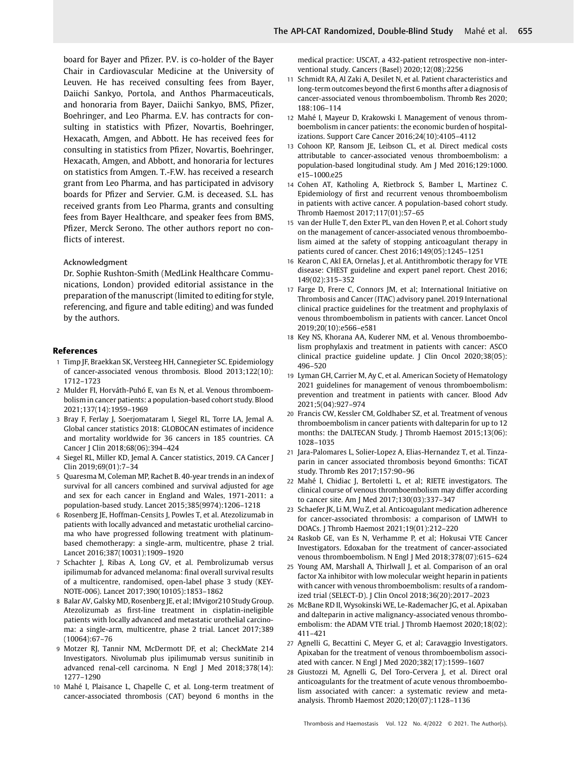board for Bayer and Pfizer. P.V. is co-holder of the Bayer Chair in Cardiovascular Medicine at the University of Leuven. He has received consulting fees from Bayer, Daiichi Sankyo, Portola, and Anthos Pharmaceuticals, and honoraria from Bayer, Daiichi Sankyo, BMS, Pfizer, Boehringer, and Leo Pharma. E.V. has contracts for consulting in statistics with Pfizer, Novartis, Boehringer, Hexacath, Amgen, and Abbott. He has received fees for consulting in statistics from Pfizer, Novartis, Boehringer, Hexacath, Amgen, and Abbott, and honoraria for lectures on statistics from Amgen. T.-F.W. has received a research grant from Leo Pharma, and has participated in advisory boards for Pfizer and Servier. G.M. is deceased. S.L. has received grants from Leo Pharma, grants and consulting fees from Bayer Healthcare, and speaker fees from BMS, Pfizer, Merck Serono. The other authors report no conflicts of interest.

#### Acknowledgment

Dr. Sophie Rushton-Smith (MedLink Healthcare Communications, London) provided editorial assistance in the preparation of the manuscript (limited to editing for style, referencing, and figure and table editing) and was funded by the authors.

#### References

- 1 Timp JF, Braekkan SK, Versteeg HH, Cannegieter SC. Epidemiology of cancer-associated venous thrombosis. Blood 2013;122(10): 1712–1723
- 2 Mulder FI, Horváth-Puhó E, van Es N, et al. Venous thromboembolism in cancer patients: a population-based cohort study. Blood 2021;137(14):1959–1969
- 3 Bray F, Ferlay J, Soerjomataram I, Siegel RL, Torre LA, Jemal A. Global cancer statistics 2018: GLOBOCAN estimates of incidence and mortality worldwide for 36 cancers in 185 countries. CA Cancer J Clin 2018;68(06):394–424
- 4 Siegel RL, Miller KD, Jemal A. Cancer statistics, 2019. CA Cancer J Clin 2019;69(01):7–34
- 5 Quaresma M, Coleman MP, Rachet B. 40-year trends in an index of survival for all cancers combined and survival adjusted for age and sex for each cancer in England and Wales, 1971-2011: a population-based study. Lancet 2015;385(9974):1206–1218
- 6 Rosenberg JE, Hoffman-Censits J, Powles T, et al. Atezolizumab in patients with locally advanced and metastatic urothelial carcinoma who have progressed following treatment with platinumbased chemotherapy: a single-arm, multicentre, phase 2 trial. Lancet 2016;387(10031):1909–1920
- 7 Schachter J, Ribas A, Long GV, et al. Pembrolizumab versus ipilimumab for advanced melanoma: final overall survival results of a multicentre, randomised, open-label phase 3 study (KEY-NOTE-006). Lancet 2017;390(10105):1853–1862
- 8 Balar AV, Galsky MD, Rosenberg JE, et al; IMvigor210 Study Group. Atezolizumab as first-line treatment in cisplatin-ineligible patients with locally advanced and metastatic urothelial carcinoma: a single-arm, multicentre, phase 2 trial. Lancet 2017;389 (10064):67–76
- 9 Motzer RJ, Tannir NM, McDermott DF, et al; CheckMate 214 Investigators. Nivolumab plus ipilimumab versus sunitinib in advanced renal-cell carcinoma. N Engl J Med 2018;378(14): 1277–1290
- 10 Mahé I, Plaisance L, Chapelle C, et al. Long-term treatment of cancer-associated thrombosis (CAT) beyond 6 months in the

medical practice: USCAT, a 432-patient retrospective non-interventional study. Cancers (Basel) 2020;12(08):2256

- 11 Schmidt RA, Al Zaki A, Desilet N, et al. Patient characteristics and long-term outcomes beyond the first 6 months after a diagnosis of cancer-associated venous thromboembolism. Thromb Res 2020; 188:106–114
- 12 Mahé I, Mayeur D, Krakowski I. Management of venous thromboembolism in cancer patients: the economic burden of hospitalizations. Support Care Cancer 2016;24(10):4105–4112
- 13 Cohoon KP, Ransom JE, Leibson CL, et al. Direct medical costs attributable to cancer-associated venous thromboembolism: a population-based longitudinal study. Am J Med 2016;129:1000. e15–1000.e25
- 14 Cohen AT, Katholing A, Rietbrock S, Bamber L, Martinez C. Epidemiology of first and recurrent venous thromboembolism in patients with active cancer. A population-based cohort study. Thromb Haemost 2017;117(01):57–65
- 15 van der Hulle T, den Exter PL, van den Hoven P, et al. Cohort study on the management of cancer-associated venous thromboembolism aimed at the safety of stopping anticoagulant therapy in patients cured of cancer. Chest 2016;149(05):1245–1251
- 16 Kearon C, Akl EA, Ornelas J, et al. Antithrombotic therapy for VTE disease: CHEST guideline and expert panel report. Chest 2016; 149(02):315–352
- 17 Farge D, Frere C, Connors JM, et al; International Initiative on Thrombosis and Cancer (ITAC) advisory panel. 2019 International clinical practice guidelines for the treatment and prophylaxis of venous thromboembolism in patients with cancer. Lancet Oncol 2019;20(10):e566–e581
- 18 Key NS, Khorana AA, Kuderer NM, et al. Venous thromboembolism prophylaxis and treatment in patients with cancer: ASCO clinical practice guideline update. J Clin Oncol 2020;38(05): 496–520
- 19 Lyman GH, Carrier M, Ay C, et al. American Society of Hematology 2021 guidelines for management of venous thromboembolism: prevention and treatment in patients with cancer. Blood Adv 2021;5(04):927–974
- 20 Francis CW, Kessler CM, Goldhaber SZ, et al. Treatment of venous thromboembolism in cancer patients with dalteparin for up to 12 months: the DALTECAN Study. J Thromb Haemost 2015;13(06): 1028–1035
- 21 Jara-Palomares L, Solier-Lopez A, Elias-Hernandez T, et al. Tinzaparin in cancer associated thrombosis beyond 6months: TiCAT study. Thromb Res 2017;157:90–96
- 22 Mahé I, Chidiac J, Bertoletti L, et al; RIETE investigators. The clinical course of venous thromboembolism may differ according to cancer site. Am J Med 2017;130(03):337–347
- 23 Schaefer JK, Li M, Wu Z, et al. Anticoagulant medication adherence for cancer-associated thrombosis: a comparison of LMWH to DOACs. J Thromb Haemost 2021;19(01):212–220
- 24 Raskob GE, van Es N, Verhamme P, et al; Hokusai VTE Cancer Investigators. Edoxaban for the treatment of cancer-associated venous thromboembolism. N Engl J Med 2018;378(07):615–624
- 25 Young AM, Marshall A, Thirlwall J, et al. Comparison of an oral factor Xa inhibitor with low molecular weight heparin in patients with cancer with venous thromboembolism: results of a randomized trial (SELECT-D). J Clin Oncol 2018;36(20):2017–2023
- 26 McBane RD II, Wysokinski WE, Le-Rademacher JG, et al. Apixaban and dalteparin in active malignancy-associated venous thromboembolism: the ADAM VTE trial. J Thromb Haemost 2020;18(02): 411–421
- 27 Agnelli G, Becattini C, Meyer G, et al; Caravaggio Investigators. Apixaban for the treatment of venous thromboembolism associated with cancer. N Engl J Med 2020;382(17):1599–1607
- 28 Giustozzi M, Agnelli G, Del Toro-Cervera J, et al. Direct oral anticoagulants for the treatment of acute venous thromboembolism associated with cancer: a systematic review and metaanalysis. Thromb Haemost 2020;120(07):1128–1136